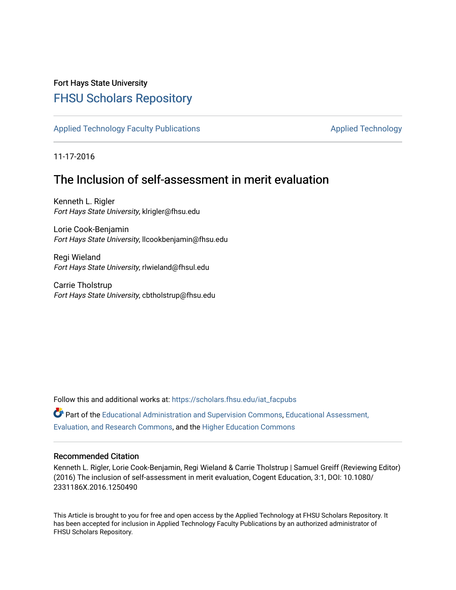# Fort Hays State University [FHSU Scholars Repository](https://scholars.fhsu.edu/)

[Applied Technology Faculty Publications](https://scholars.fhsu.edu/iat_facpubs) [Applied Technology](https://scholars.fhsu.edu/iat) **Applied Technology** 

11-17-2016

# The Inclusion of self-assessment in merit evaluation

Kenneth L. Rigler Fort Hays State University, klrigler@fhsu.edu

Lorie Cook-Benjamin Fort Hays State University, llcookbenjamin@fhsu.edu

Regi Wieland Fort Hays State University, rlwieland@fhsul.edu

Carrie Tholstrup Fort Hays State University, cbtholstrup@fhsu.edu

Follow this and additional works at: [https://scholars.fhsu.edu/iat\\_facpubs](https://scholars.fhsu.edu/iat_facpubs?utm_source=scholars.fhsu.edu%2Fiat_facpubs%2F1&utm_medium=PDF&utm_campaign=PDFCoverPages)

Part of the [Educational Administration and Supervision Commons](http://network.bepress.com/hgg/discipline/787?utm_source=scholars.fhsu.edu%2Fiat_facpubs%2F1&utm_medium=PDF&utm_campaign=PDFCoverPages), [Educational Assessment,](http://network.bepress.com/hgg/discipline/796?utm_source=scholars.fhsu.edu%2Fiat_facpubs%2F1&utm_medium=PDF&utm_campaign=PDFCoverPages)  [Evaluation, and Research Commons,](http://network.bepress.com/hgg/discipline/796?utm_source=scholars.fhsu.edu%2Fiat_facpubs%2F1&utm_medium=PDF&utm_campaign=PDFCoverPages) and the [Higher Education Commons](http://network.bepress.com/hgg/discipline/1245?utm_source=scholars.fhsu.edu%2Fiat_facpubs%2F1&utm_medium=PDF&utm_campaign=PDFCoverPages)

# Recommended Citation

Kenneth L. Rigler, Lorie Cook-Benjamin, Regi Wieland & Carrie Tholstrup | Samuel Greiff (Reviewing Editor) (2016) The inclusion of self-assessment in merit evaluation, Cogent Education, 3:1, DOI: 10.1080/ 2331186X.2016.1250490

This Article is brought to you for free and open access by the Applied Technology at FHSU Scholars Repository. It has been accepted for inclusion in Applied Technology Faculty Publications by an authorized administrator of FHSU Scholars Repository.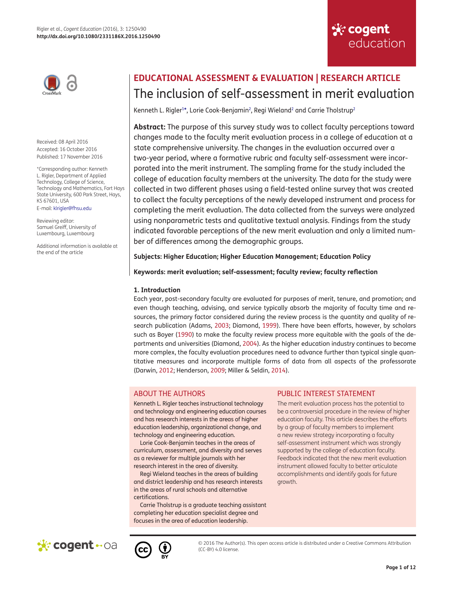



Received: 08 April 2016 Accepted: 16 October 2016 Published: 17 November 2016

<span id="page-1-0"></span>\*Corresponding author: Kenneth L. Rigler, Department of Applied Technology, College of Science, Technology and Mathematics, Fort Hays State University, 600 Park Street, Hays, KS 67601, USA E-mail: [klrigler@fhsu.edu](mailto:klrigler@fhsu.edu)

Reviewing editor: Samuel Greiff, University of Luxembourg, Luxembourg

Additional information is available at the end of the article

# **EDUCATIONAL ASSESSMENT & EVALUATION | RESEARCH ARTICLE** The inclusion of self-assessment in merit evaluation

<span id="page-1-1"></span>Kenneth L. Rigler $^{1*}$  $^{1*}$  $^{1*}$  $^{1*}$ , Lorie Cook-Benjamin $^2$  $^2$ , Regi Wieland $^2$  and Carrie Tholstrup $^2$ 

**Abstract:** The purpose of this survey study was to collect faculty perceptions toward changes made to the faculty merit evaluation process in a college of education at a state comprehensive university. The changes in the evaluation occurred over a two-year period, where a formative rubric and faculty self-assessment were incorporated into the merit instrument. The sampling frame for the study included the college of education faculty members at the university. The data for the study were collected in two different phases using a field-tested online survey that was created to collect the faculty perceptions of the newly developed instrument and process for completing the merit evaluation. The data collected from the surveys were analyzed using nonparametric tests and qualitative textual analysis. Findings from the study indicated favorable perceptions of the new merit evaluation and only a limited number of differences among the demographic groups.

**Subjects: Higher Education; Higher Education Management; Education Policy**

**Keywords: merit evaluation; self-assessment; faculty review; faculty reflection**

# **1. Introduction**

<span id="page-1-6"></span><span id="page-1-3"></span><span id="page-1-2"></span>Each year, post-secondary faculty are evaluated for purposes of merit, tenure, and promotion; and even though teaching, advising, and service typically absorb the majority of faculty time and resources, the primary factor considered during the review process is the quantity and quality of research publication (Adams, [2003](#page-12-0); Diamond, [1999](#page-12-1)). There have been efforts, however, by scholars such as Boyer ([1990](#page-12-2)) to make the faculty review process more equitable with the goals of the departments and universities (Diamond, [2004\)](#page-12-3). As the higher education industry continues to become more complex, the faculty evaluation procedures need to advance further than typical single quantitative measures and incorporate multiple forms of data from all aspects of the professorate (Darwin, [2012](#page-12-4); Henderson, [2009;](#page-12-5) Miller & Seldin, [2014](#page-12-6)).

# <span id="page-1-4"></span>ABOUT THE AUTHORS

Kenneth L. Rigler teaches instructional technology and technology and engineering education courses and has research interests in the areas of higher education leadership, organizational change, and technology and engineering education.

Lorie Cook-Benjamin teaches in the areas of curriculum, assessment, and diversity and serves as a reviewer for multiple journals with her research interest in the area of diversity.

Regi Wieland teaches in the areas of building and district leadership and has research interests in the areas of rural schools and alternative certifications.

Carrie Tholstrup is a graduate teaching assistant completing her education specialist degree and focuses in the area of education leadership.

# <span id="page-1-8"></span><span id="page-1-7"></span><span id="page-1-5"></span>PUBLIC INTEREST STATEMENT

The merit evaluation process has the potential to be a controversial procedure in the review of higher education faculty. This article describes the efforts by a group of faculty members to implement a new review strategy incorporating a faculty self-assessment instrument which was strongly supported by the college of education faculty. Feedback indicated that the new merit evaluation instrument allowed faculty to better articulate accomplishments and identify goals for future growth.





© 2016 The Author(s). This open access article is distributed under a Creative Commons Attribution (CC-BY) 4.0 license.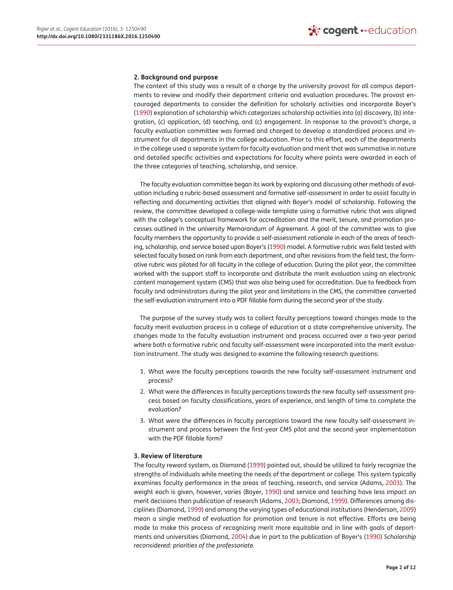### **2. Background and purpose**

The context of this study was a result of a charge by the university provost for all campus departments to review and modify their department criteria and evaluation procedures. The provost encouraged departments to consider the definition for scholarly activities and incorporate Boyer's ([1990](#page-12-2)) explanation of scholarship which categorizes scholarship activities into (a) discovery, (b) integration, (c) application, (d) teaching, and (c) engagement. In response to the provost's charge, a faculty evaluation committee was formed and charged to develop a standardized process and instrument for all departments in the college education. Prior to this effort, each of the departments in the college used a separate system for faculty evaluation and merit that was summative in nature and detailed specific activities and expectations for faculty where points were awarded in each of the three categories of teaching, scholarship, and service.

The faculty evaluation committee began its work by exploring and discussing other methods of evaluation including a rubric-based assessment and formative self-assessment in order to assist faculty in reflecting and documenting activities that aligned with Boyer's model of scholarship. Following the review, the committee developed a college-wide template using a formative rubric that was aligned with the college's conceptual framework for accreditation and the merit, tenure, and promotion processes outlined in the university Memorandum of Agreement. A goal of the committee was to give faculty members the opportunity to provide a self-assessment rationale in each of the areas of teaching, scholarship, and service based upon Boyer's ([1990\)](#page-12-2) model. A formative rubric was field tested with selected faculty based on rank from each department, and after revisions from the field test, the formative rubric was piloted for all faculty in the college of education. During the pilot year, the committee worked with the support staff to incorporate and distribute the merit evaluation using an electronic content management system (CMS) that was also being used for accreditation. Due to feedback from faculty and administrators during the pilot year and limitations in the CMS, the committee converted the self-evaluation instrument into a PDF fillable form during the second year of the study.

The purpose of the survey study was to collect faculty perceptions toward changes made to the faculty merit evaluation process in a college of education at a state comprehensive university. The changes made to the faculty evaluation instrument and process occurred over a two-year period where both a formative rubric and faculty self-assessment were incorporated into the merit evaluation instrument. The study was designed to examine the following research questions:

- 1. What were the faculty perceptions towards the new faculty self-assessment instrument and process?
- 2. What were the differences in faculty perceptions towards the new faculty self-assessment process based on faculty classifications, years of experience, and length of time to complete the evaluation?
- 3. What were the differences in faculty perceptions toward the new faculty self-assessment instrument and process between the first-year CMS pilot and the second-year implementation with the PDF fillable form?

#### **3. Review of literature**

The faculty reward system, as Diamond ([1999\)](#page-12-1) pointed out, should be utilized to fairly recognize the strengths of individuals while meeting the needs of the department or college. This system typically examines faculty performance in the areas of teaching, research, and service (Adams, [2003](#page-12-0)). The weight each is given, however, varies (Boyer, [1990\)](#page-12-2) and service and teaching have less impact on merit decisions than publication of research (Adams, [2003](#page-12-0); Diamond, [1999\)](#page-12-1). Differences among disciplines (Diamond, [1999](#page-12-1)) and among the varying types of educational institutions (Henderson, [2009](#page-12-5)) mean a single method of evaluation for promotion and tenure is not effective. Efforts are being made to make this process of recognizing merit more equitable and in line with goals of departments and universities (Diamond, [2004\)](#page-12-3) due in part to the publication of Boyer's [\(1990\)](#page-12-2) *Scholarship reconsidered: priorities of the professoriate.*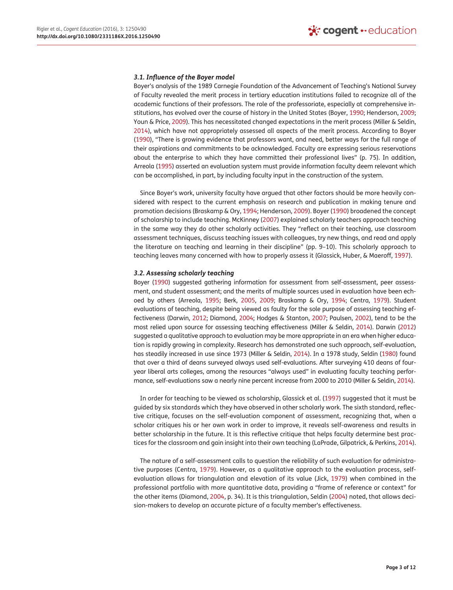### *3.1. Influence of the Boyer model*

<span id="page-3-13"></span>Boyer's analysis of the 1989 Carnegie Foundation of the Advancement of Teaching's National Survey of Faculty revealed the merit process in tertiary education institutions failed to recognize all of the academic functions of their professors. The role of the professoriate, especially at comprehensive institutions, has evolved over the course of history in the United States (Boyer, [1990](#page-12-2); Henderson, [2009;](#page-12-5) Youn & Price, [2009](#page-12-7)). This has necessitated changed expectations in the merit process (Miller & Seldin, [2014](#page-12-6)), which have not appropriately assessed all aspects of the merit process. According to Boyer ([1990\)](#page-12-2), "There is growing evidence that professors want, and need, better ways for the full range of their aspirations and commitments to be acknowledged. Faculty are expressing serious reservations about the enterprise to which they have committed their professional lives" (p. 75). In addition, Arreola [\(1995\)](#page-12-8) asserted an evaluation system must provide information faculty deem relevant which can be accomplished, in part, by including faculty input in the construction of the system.

<span id="page-3-9"></span><span id="page-3-3"></span><span id="page-3-0"></span>Since Boyer's work, university faculty have argued that other factors should be more heavily considered with respect to the current emphasis on research and publication in making tenure and promotion decisions (Braskamp & Ory, [1994](#page-12-9); Henderson, [2009\)](#page-12-5). Boyer [\(1990\)](#page-12-2) broadened the concept of scholarship to include teaching. McKinney [\(2007\)](#page-12-10) explained scholarly teachers approach teaching in the same way they do other scholarly activities. They "reflect on their teaching, use classroom assessment techniques, discuss teaching issues with colleagues, try new things, and read and apply the literature on teaching and learning in their discipline" (pp. 9–10). This scholarly approach to teaching leaves many concerned with how to properly assess it (Glassick, Huber, & Maeroff, [1997\)](#page-12-11).

#### <span id="page-3-5"></span><span id="page-3-4"></span>*3.2. Assessing scholarly teaching*

<span id="page-3-10"></span><span id="page-3-6"></span><span id="page-3-2"></span><span id="page-3-1"></span>Boyer [\(1990](#page-12-2)) suggested gathering information for assessment from self-assessment, peer assessment, and student assessment; and the merits of multiple sources used in evaluation have been echoed by others (Arreola, [1995](#page-12-8); Berk, [2005](#page-12-12), [2009](#page-12-13); Braskamp & Ory, [1994;](#page-12-9) Centra, [1979](#page-12-14)). Student evaluations of teaching, despite being viewed as faulty for the sole purpose of assessing teaching effectiveness (Darwin, [2012;](#page-12-4) Diamond, [2004;](#page-12-3) Hodges & Stanton, [2007;](#page-12-15) Paulsen, [2002\)](#page-12-16), tend to be the most relied upon source for assessing teaching effectiveness (Miller & Seldin, [2014](#page-12-6)). Darwin [\(2012](#page-12-4)) suggested a qualitative approach to evaluation may be more appropriate in an era when higher education is rapidly growing in complexity. Research has demonstrated one such approach, self-evaluation, has steadily increased in use since 1973 (Miller & Seldin, [2014](#page-12-6)). In a 1978 study, Seldin ([1980\)](#page-12-17) found that over a third of deans surveyed always used self-evaluations. After surveying 410 deans of fouryear liberal arts colleges, among the resources "always used" in evaluating faculty teaching performance, self-evaluations saw a nearly nine percent increase from 2000 to 2010 (Miller & Seldin, [2014](#page-12-6)).

<span id="page-3-11"></span>In order for teaching to be viewed as scholarship, Glassick et al. ([1997](#page-12-11)) suggested that it must be guided by six standards which they have observed in other scholarly work. The sixth standard, reflective critique, focuses on the self-evaluation component of assessment, recognizing that, when a scholar critiques his or her own work in order to improve, it reveals self-awareness and results in better scholarship in the future. It is this reflective critique that helps faculty determine best practices for the classroom and gain insight into their own teaching (LaPrade, Gilpatrick, & Perkins, [2014](#page-12-18)).

<span id="page-3-12"></span><span id="page-3-8"></span><span id="page-3-7"></span>The nature of a self-assessment calls to question the reliability of such evaluation for administrative purposes (Centra, [1979\)](#page-12-14). However, as a qualitative approach to the evaluation process, selfevaluation allows for triangulation and elevation of its value (Jick, [1979\)](#page-12-19) when combined in the professional portfolio with more quantitative data, providing a "frame of reference or context" for the other items (Diamond, [2004,](#page-12-3) p. 34). It is this triangulation, Seldin ([2004\)](#page-12-20) noted, that allows decision-makers to develop an accurate picture of a faculty member's effectiveness.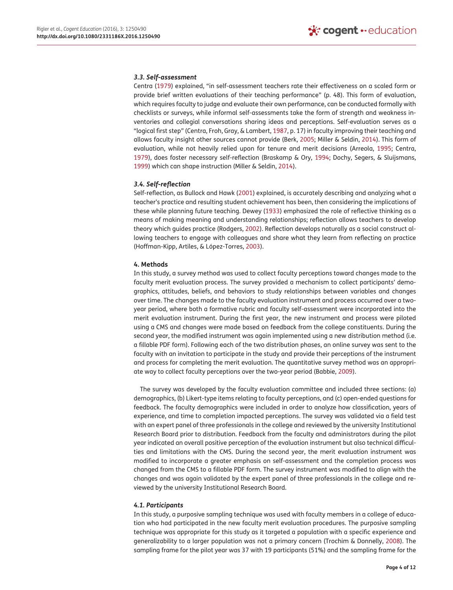#### *3.3. Self-assessment*

<span id="page-4-2"></span>Centra ([1979](#page-12-14)) explained, "in self-assessment teachers rate their effectiveness on a scaled form or provide brief written evaluations of their teaching performance" (p. 48). This form of evaluation, which requires faculty to judge and evaluate their own performance, can be conducted formally with checklists or surveys, while informal self-assessments take the form of strength and weakness inventories and collegial conversations sharing ideas and perceptions. Self-evaluation serves as a "logical first step" (Centra, Froh, Gray, & Lambert, [1987,](#page-12-21) p. 17) in faculty improving their teaching and allows faculty insight other sources cannot provide (Berk, [2005;](#page-12-12) Miller & Seldin, [2014](#page-12-6)). This form of evaluation, while not heavily relied upon for tenure and merit decisions (Arreola, [1995;](#page-12-8) Centra, [1979](#page-12-14)), does foster necessary self-reflection (Braskamp & Ory, [1994;](#page-12-9) Dochy, Segers, & Sluijsmans, [1999](#page-12-22)) which can shape instruction (Miller & Seldin, [2014\)](#page-12-6).

#### <span id="page-4-4"></span>*3.4. Self-reflection*

<span id="page-4-6"></span><span id="page-4-3"></span><span id="page-4-1"></span>Self-reflection, as Bullock and Hawk ([2001](#page-12-23)) explained, is accurately describing and analyzing what a teacher's practice and resulting student achievement has been, then considering the implications of these while planning future teaching. Dewey [\(1933](#page-12-24)) emphasized the role of reflective thinking as a means of making meaning and understanding relationships; reflection allows teachers to develop theory which guides practice (Rodgers, [2002](#page-12-25)). Reflection develops naturally as a social construct allowing teachers to engage with colleagues and share what they learn from reflecting on practice (Hoffman-Kipp, Artiles, & López-Torres, [2003](#page-12-26)).

#### <span id="page-4-5"></span>**4. Methods**

In this study, a survey method was used to collect faculty perceptions toward changes made to the faculty merit evaluation process. The survey provided a mechanism to collect participants' demographics, attitudes, beliefs, and behaviors to study relationships between variables and changes over time. The changes made to the faculty evaluation instrument and process occurred over a twoyear period, where both a formative rubric and faculty self-assessment were incorporated into the merit evaluation instrument. During the first year, the new instrument and process were piloted using a CMS and changes were made based on feedback from the college constituents. During the second year, the modified instrument was again implemented using a new distribution method (i.e. a fillable PDF form). Following each of the two distribution phases, an online survey was sent to the faculty with an invitation to participate in the study and provide their perceptions of the instrument and process for completing the merit evaluation. The quantitative survey method was an appropriate way to collect faculty perceptions over the two-year period (Babbie, [2009](#page-12-27)).

<span id="page-4-0"></span>The survey was developed by the faculty evaluation committee and included three sections: (a) demographics, (b) Likert-type items relating to faculty perceptions, and (c) open-ended questions for feedback. The faculty demographics were included in order to analyze how classification, years of experience, and time to completion impacted perceptions. The survey was validated via a field test with an expert panel of three professionals in the college and reviewed by the university Institutional Research Board prior to distribution. Feedback from the faculty and administrators during the pilot year indicated an overall positive perception of the evaluation instrument but also technical difficulties and limitations with the CMS. During the second year, the merit evaluation instrument was modified to incorporate a greater emphasis on self-assessment and the completion process was changed from the CMS to a fillable PDF form. The survey instrument was modified to align with the changes and was again validated by the expert panel of three professionals in the college and reviewed by the university Institutional Research Board.

#### *4.1. Participants*

<span id="page-4-7"></span>In this study, a purposive sampling technique was used with faculty members in a college of education who had participated in the new faculty merit evaluation procedures. The purposive sampling technique was appropriate for this study as it targeted a population with a specific experience and generalizability to a larger population was not a primary concern (Trochim & Donnelly, [2008](#page-12-28)). The sampling frame for the pilot year was 37 with 19 participants (51%) and the sampling frame for the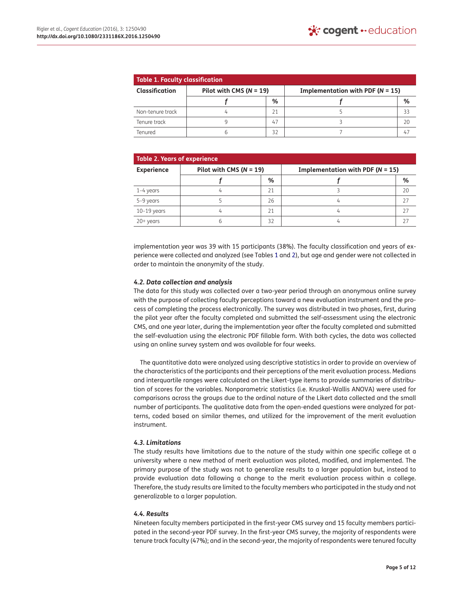<span id="page-5-0"></span>

| <b>Table 1. Faculty classification</b> |                                                                                     |    |  |    |  |  |  |  |  |
|----------------------------------------|-------------------------------------------------------------------------------------|----|--|----|--|--|--|--|--|
| Classification                         | Pilot with CMS ( $N = 19$ )<br><b>Implementation with PDF (<math>N = 15</math>)</b> |    |  |    |  |  |  |  |  |
|                                        |                                                                                     | %  |  | %  |  |  |  |  |  |
| Non-tenure track                       |                                                                                     |    |  | 33 |  |  |  |  |  |
| Tenure track                           |                                                                                     | 47 |  | 20 |  |  |  |  |  |
| Tenured                                |                                                                                     | 32 |  | 4  |  |  |  |  |  |

<span id="page-5-1"></span>

| <b>Table 2. Years of experience</b> |                             |    |                                                      |    |  |  |  |  |
|-------------------------------------|-----------------------------|----|------------------------------------------------------|----|--|--|--|--|
| <b>Experience</b>                   | Pilot with CMS ( $N = 19$ ) |    | <b>Implementation with PDF (<math>N = 15</math>)</b> |    |  |  |  |  |
|                                     |                             | %  |                                                      | %  |  |  |  |  |
| $1-4$ years                         | 4                           | 21 |                                                      | 20 |  |  |  |  |
| 5-9 years                           |                             | 26 | 4                                                    | 27 |  |  |  |  |
| $10-19$ years                       | 4                           | 21 | 4                                                    | 27 |  |  |  |  |
| $20+$ years                         |                             | 32 | 4                                                    |    |  |  |  |  |

implementation year was 39 with 15 participants (38%). The faculty classification and years of experience were collected and analyzed (see Tables [1](#page-5-0) and [2\)](#page-5-1), but age and gender were not collected in order to maintain the anonymity of the study.

## *4.2. Data collection and analysis*

The data for this study was collected over a two-year period through an anonymous online survey with the purpose of collecting faculty perceptions toward a new evaluation instrument and the process of completing the process electronically. The survey was distributed in two phases, first, during the pilot year after the faculty completed and submitted the self-assessment using the electronic CMS, and one year later, during the implementation year after the faculty completed and submitted the self-evaluation using the electronic PDF fillable form. With both cycles, the data was collected using an online survey system and was available for four weeks.

The quantitative data were analyzed using descriptive statistics in order to provide an overview of the characteristics of the participants and their perceptions of the merit evaluation process. Medians and interquartile ranges were calculated on the Likert-type items to provide summaries of distribution of scores for the variables. Nonparametric statistics (i.e. Kruskal-Wallis ANOVA) were used for comparisons across the groups due to the ordinal nature of the Likert data collected and the small number of participants. The qualitative data from the open-ended questions were analyzed for patterns, coded based on similar themes, and utilized for the improvement of the merit evaluation instrument.

## *4.3. Limitations*

The study results have limitations due to the nature of the study within one specific college at a university where a new method of merit evaluation was piloted, modified, and implemented. The primary purpose of the study was not to generalize results to a larger population but, instead to provide evaluation data following a change to the merit evaluation process within a college. Therefore, the study results are limited to the faculty members who participated in the study and not generalizable to a larger population.

## *4.4. Results*

Nineteen faculty members participated in the first-year CMS survey and 15 faculty members participated in the second-year PDF survey. In the first-year CMS survey, the majority of respondents were tenure track faculty (47%); and in the second-year, the majority of respondents were tenured faculty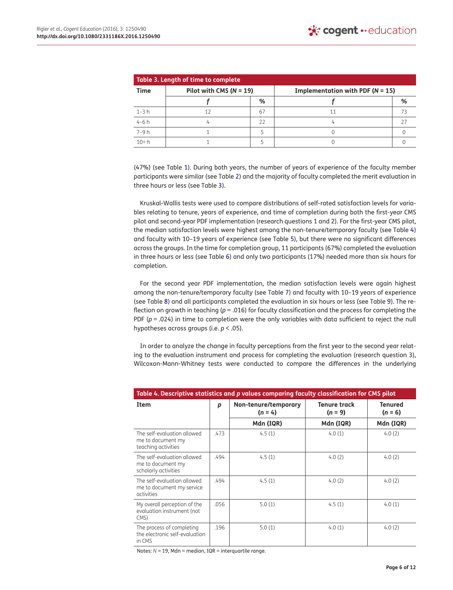<span id="page-6-0"></span>

| Table 3. Length of time to complete |                             |    |                                                      |   |  |  |  |  |
|-------------------------------------|-----------------------------|----|------------------------------------------------------|---|--|--|--|--|
| <b>Time</b>                         | Pilot with CMS ( $N = 19$ ) |    | <b>Implementation with PDF (<math>N = 15</math>)</b> |   |  |  |  |  |
|                                     |                             | ℅  |                                                      | % |  |  |  |  |
| $1-3h$                              |                             | 67 |                                                      |   |  |  |  |  |
| $4-6h$                              |                             | 22 |                                                      |   |  |  |  |  |
| $7-9h$                              |                             |    |                                                      |   |  |  |  |  |
| $10 + h$                            |                             |    |                                                      |   |  |  |  |  |

(47%) (see Table [1\)](#page-5-0). During both years, the number of years of experience of the faculty member participants were similar (see Table [2\)](#page-5-1) and the majority of faculty completed the merit evaluation in three hours or less (see Table [3\)](#page-6-0).

Kruskal-Wallis tests were used to compare distributions of self-rated satisfaction levels for variables relating to tenure, years of experience, and time of completion during both the first-year CMS pilot and second-year PDF implementation (research questions 1 and 2). For the first-year CMS pilot, the median satisfaction levels were highest among the non-tenure/temporary faculty (see Table [4](#page-6-1)) and faculty with 10–19 years of experience (see Table [5\)](#page-7-0), but there were no significant differences across the groups. In the time for completion group, 11 participants (67%) completed the evaluation in three hours or less (see Table [6\)](#page-7-1) and only two participants (17%) needed more than six hours for completion.

For the second year PDF implementation, the median satisfaction levels were again highest among the non-tenure/temporary faculty (see Table [7\)](#page-8-0) and faculty with 10–19 years of experience (see Table [8\)](#page-8-1) and all participants completed the evaluation in six hours or less (see Table [9\)](#page-9-0). The reflection on growth in teaching (*p* = .016) for faculty classification and the process for completing the PDF ( $p = .024$ ) in time to completion were the only variables with data sufficient to reject the null hypotheses across groups (i.e. *p* < .05).

In order to analyze the change in faculty perceptions from the first year to the second year relating to the evaluation instrument and process for completing the evaluation (research question 3), Wilcoxon-Mann-Whitney tests were conducted to compare the differences in the underlying

<span id="page-6-1"></span>

| Table 4. Descriptive statistics and p values comparing faculty classification for CMS pilot |      |                                   |                                  |                             |  |  |  |  |
|---------------------------------------------------------------------------------------------|------|-----------------------------------|----------------------------------|-----------------------------|--|--|--|--|
| Item                                                                                        | p    | Non-tenure/temporary<br>$(n = 4)$ | <b>Tenure track</b><br>$(n = 9)$ | <b>Tenured</b><br>$(n = 6)$ |  |  |  |  |
|                                                                                             |      | Mdn (IQR)                         | Mdn (IQR)                        | Mdn (IQR)                   |  |  |  |  |
| The self-evaluation allowed<br>me to document my<br>teaching activities                     | .473 | 4.5(1)                            | 4.0(1)                           | 4.0(2)                      |  |  |  |  |
| The self-evaluation allowed<br>me to document my<br>scholarly activities                    | .494 | 4.5(1)                            | 4.0(2)                           | 4.0(2)                      |  |  |  |  |
| The self-evaluation allowed<br>me to document my service<br>activities                      | .494 | 4.5(1)                            | 4.0(2)                           | 4.0(2)                      |  |  |  |  |
| My overall perception of the<br>evaluation instrument (not<br>CMS)                          | .056 | 5.0(1)                            | 4.5(1)                           | 4.0(1)                      |  |  |  |  |
| The process of completing<br>the electronic self-evaluation<br>in CMS                       | .196 | 5.0(1)                            | 4.0(1)                           | 4.0(2)                      |  |  |  |  |

Notes:  $N = 19$ , Mdn = median, IQR = interquartile range.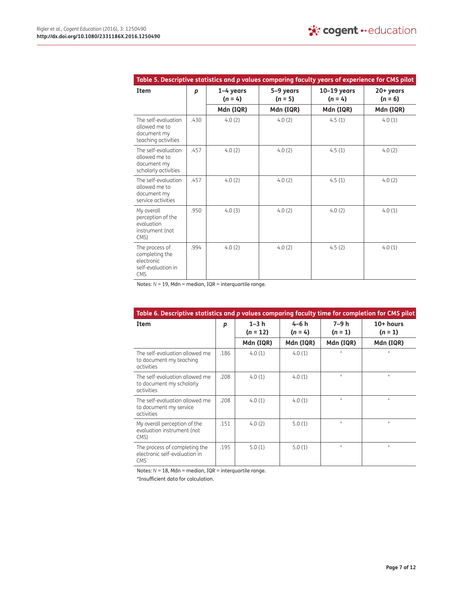<span id="page-7-0"></span>

| Table 5. Descriptive statistics and p values comparing faculty years of experience for CMS pilot |      |                          |                        |                            |                        |  |  |  |
|--------------------------------------------------------------------------------------------------|------|--------------------------|------------------------|----------------------------|------------------------|--|--|--|
| Item                                                                                             | p    | $1-4$ years<br>$(n = 4)$ | 5-9 years<br>$(n = 5)$ | $10-19$ years<br>$(n = 4)$ | 20+ years<br>$(n = 6)$ |  |  |  |
|                                                                                                  |      | Mdn (IQR)                | Mdn (IQR)              | Mdn (IQR)                  | Mdn (IQR)              |  |  |  |
| The self-evaluation<br>allowed me to<br>document my<br>teaching activities                       | .430 | 4.0(2)                   | 4.0(2)                 | 4.5(1)                     | 4.0(1)                 |  |  |  |
| The self-evaluation<br>allowed me to<br>document my<br>scholarly activities                      | .457 | 4.0(2)                   | 4.0(2)                 | 4.5(1)                     | 4.0(2)                 |  |  |  |
| The self-evaluation<br>allowed me to<br>document my<br>service activities                        | .457 | 4.0(2)                   | 4.0(2)                 | 4.5(1)                     | 4.0(2)                 |  |  |  |
| My overall<br>perception of the<br>evaluation<br>instrument (not<br>CMS)                         | .950 | 4.0(3)                   | 4.0(2)                 | 4.0(2)                     | 4.0(1)                 |  |  |  |
| The process of<br>completing the<br>electronic<br>self-evaluation in<br><b>CMS</b>               | .994 | 4.0(2)                   | 4.0(2)                 | 4.5(2)                     | 4.0(1)                 |  |  |  |

Notes:  $N = 19$ , Mdn = median, IQR = interquartile range.

<span id="page-7-1"></span>

| Table 6. Descriptive statistics and p values comparing faculty time for completion for CMS pilot |      |                      |                     |                     |                          |  |  |  |  |
|--------------------------------------------------------------------------------------------------|------|----------------------|---------------------|---------------------|--------------------------|--|--|--|--|
| Item                                                                                             | p    | $1-3h$<br>$(n = 12)$ | $4-6h$<br>$(n = 4)$ | $7-9h$<br>$(n = 1)$ | $10+$ hours<br>$(n = 1)$ |  |  |  |  |
|                                                                                                  |      | Mdn (IQR)            | Mdn (IQR)           | Mdn (IQR)           | Mdn (IQR)                |  |  |  |  |
| The self-evaluation allowed me<br>to document my teaching<br>activities                          | .186 | 4.0(1)               | 4.0(1)              |                     | ÷                        |  |  |  |  |
| The self-evaluation allowed me<br>to document my scholarly<br>activities                         | .208 | 4.0(1)               | 4.0(1)              | $\star$             | $\star$                  |  |  |  |  |
| The self-evaluation allowed me<br>to document my service<br>activities                           | .208 | 4.0(1)               | 4.0(1)              | $\star$             | $\star$                  |  |  |  |  |
| My overall perception of the<br>evaluation instrument (not<br>CMS)                               | .151 | 4.0(2)               | 5.0(1)              | $\star$             | $\star$                  |  |  |  |  |
| The process of completing the<br>electronic self-evaluation in<br><b>CMS</b>                     | .195 | 5.0(1)               | 5.0(1)              | $\star$             | $\star$                  |  |  |  |  |

Notes:  $N = 18$ , Mdn = median, IQR = interquartile range.

\*Insufficient data for calculation.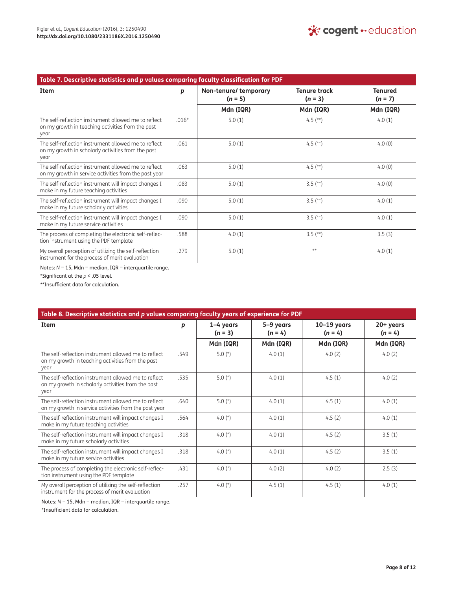<span id="page-8-0"></span>

| Table 7. Descriptive statistics and p values comparing faculty classification for PDF                              |         |                                   |                                  |                             |  |  |  |  |
|--------------------------------------------------------------------------------------------------------------------|---------|-----------------------------------|----------------------------------|-----------------------------|--|--|--|--|
| Item                                                                                                               | p       | Non-tenure/temporary<br>$(n = 5)$ | <b>Tenure track</b><br>$(n = 3)$ | <b>Tenured</b><br>$(n = 7)$ |  |  |  |  |
|                                                                                                                    |         | Mdn (IQR)                         | Mdn (IQR)                        | Mdn (IQR)                   |  |  |  |  |
| The self-reflection instrument allowed me to reflect<br>on my growth in teaching activities from the past<br>year  | $.016*$ | 5.0(1)                            | 4.5 $(**)$                       | 4.0(1)                      |  |  |  |  |
| The self-reflection instrument allowed me to reflect<br>on my growth in scholarly activities from the past<br>year | .061    | 5.0(1)                            | 4.5 $(**)$                       | 4.0(0)                      |  |  |  |  |
| The self-reflection instrument allowed me to reflect<br>on my growth in service activities from the past year      | .063    | 5.0(1)                            | 4.5 $(**)$                       | 4.0(0)                      |  |  |  |  |
| The self-reflection instrument will impact changes I<br>make in my future teaching activities                      | .083    | 5.0(1)                            | $3.5$ (**)                       | 4.0(0)                      |  |  |  |  |
| The self-reflection instrument will impact changes I<br>make in my future scholarly activities                     | .090    | 5.0(1)                            | $3.5$ (**)                       | 4.0(1)                      |  |  |  |  |
| The self-reflection instrument will impact changes I<br>make in my future service activities                       | .090    | 5.0(1)                            | $3.5$ (**)                       | 4.0(1)                      |  |  |  |  |
| The process of completing the electronic self-reflec-<br>tion instrument using the PDF template                    | .588    | 4.0(1)                            | $3.5$ (**)                       | 3.5(3)                      |  |  |  |  |
| My overall perception of utilizing the self-reflection<br>instrument for the process of merit evaluation           | .279    | 5.0(1)                            | $**$                             | 4.0(1)                      |  |  |  |  |

Notes:  $N = 15$ , Mdn = median, IQR = interquartile range.

\*Significant at the *p* < .05 level.

\*\*Insufficient data for calculation.

<span id="page-8-1"></span>

| Table 8. Descriptive statistics and p values comparing faculty years of experience for PDF                         |      |                          |                        |                            |                        |  |  |  |
|--------------------------------------------------------------------------------------------------------------------|------|--------------------------|------------------------|----------------------------|------------------------|--|--|--|
| Item                                                                                                               | р    | $1-4$ years<br>$(n = 3)$ | 5-9 years<br>$(n = 4)$ | $10-19$ years<br>$(n = 4)$ | 20+ years<br>$(n = 4)$ |  |  |  |
|                                                                                                                    |      | Mdn (IQR)                | Mdn (IQR)              | Mdn (IQR)                  | Mdn (IQR)              |  |  |  |
| The self-reflection instrument allowed me to reflect<br>on my growth in teaching activities from the past<br>year  | .549 | 5.0 $(*)$                | 4.0(1)                 | 4.0(2)                     | 4.0(2)                 |  |  |  |
| The self-reflection instrument allowed me to reflect<br>on my growth in scholarly activities from the past<br>year | .535 | 5.0 $(*)$                | 4.0(1)                 | 4.5(1)                     | 4.0(2)                 |  |  |  |
| The self-reflection instrument allowed me to reflect<br>on my growth in service activities from the past year      | .640 | 5.0 $(*)$                | 4.0(1)                 | 4.5(1)                     | 4.0(1)                 |  |  |  |
| The self-reflection instrument will impact changes I<br>make in my future teaching activities                      | .564 | 4.0 $(*)$                | 4.0(1)                 | 4.5(2)                     | 4.0(1)                 |  |  |  |
| The self-reflection instrument will impact changes I<br>make in my future scholarly activities                     | .318 | 4.0 $(*)$                | 4.0(1)                 | 4.5(2)                     | 3.5(1)                 |  |  |  |
| The self-reflection instrument will impact changes I<br>make in my future service activities                       | .318 | 4.0 $(*)$                | 4.0(1)                 | 4.5(2)                     | 3.5(1)                 |  |  |  |
| The process of completing the electronic self-reflec-<br>tion instrument using the PDF template                    | .431 | 4.0 $(*)$                | 4.0(2)                 | 4.0(2)                     | 2.5(3)                 |  |  |  |
| My overall perception of utilizing the self-reflection<br>instrument for the process of merit evaluation           | .257 | 4.0 $(*)$                | 4.5(1)                 | 4.5(1)                     | 4.0(1)                 |  |  |  |

Notes: *N* = 15, Mdn = median, IQR = interquartile range.

\*Insufficient data for calculation.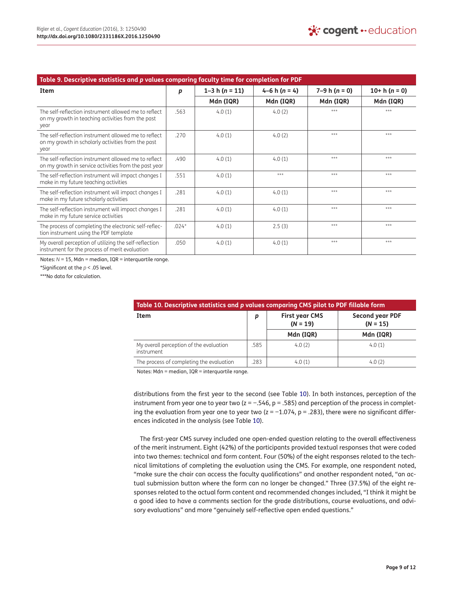<span id="page-9-0"></span>

| Table 9. Descriptive statistics and p values comparing faculty time for completion for PDF                         |         |                  |                 |                 |                 |  |  |  |
|--------------------------------------------------------------------------------------------------------------------|---------|------------------|-----------------|-----------------|-----------------|--|--|--|
| Item                                                                                                               | p       | 1–3 h $(n = 11)$ | $4-6 h (n = 4)$ | $7-9 h (n = 0)$ | $10+ h (n = 0)$ |  |  |  |
|                                                                                                                    |         | Mdn (IQR)        | Mdn (IQR)       | Mdn (IQR)       | Mdn (IQR)       |  |  |  |
| The self-reflection instrument allowed me to reflect<br>on my growth in teaching activities from the past<br>year  | .563    | 4.0(1)           | 4.0(2)          | $***$           | $***$           |  |  |  |
| The self-reflection instrument allowed me to reflect<br>on my growth in scholarly activities from the past<br>year | .270    | 4.0(1)           | 4.0(2)          | $***$           | $***$           |  |  |  |
| The self-reflection instrument allowed me to reflect<br>on my growth in service activities from the past year      | .490    | 4.0(1)           | 4.0(1)          | $***$           | $***$           |  |  |  |
| The self-reflection instrument will impact changes I<br>make in my future teaching activities                      | .551    | 4.0(1)           | $***$           | $***$           | $***$           |  |  |  |
| The self-reflection instrument will impact changes I<br>make in my future scholarly activities                     | .281    | 4.0(1)           | 4.0(1)          | $***$           | $***$           |  |  |  |
| The self-reflection instrument will impact changes I<br>make in my future service activities                       | .281    | 4.0(1)           | 4.0(1)          | $***$           | $***$           |  |  |  |
| The process of completing the electronic self-reflec-<br>tion instrument using the PDF template                    | $.024*$ | 4.0(1)           | 2.5(3)          | $***$           | $***$           |  |  |  |
| My overall perception of utilizing the self-reflection<br>instrument for the process of merit evaluation           | .050    | 4.0(1)           | 4.0(1)          | $***$           | $***$           |  |  |  |

Notes:  $N = 15$ , Mdn = median, IQR = interquartile range.

\*Significant at the *p* < .05 level.

\*\*\*No data for calculation.

<span id="page-9-1"></span>

| Table 10. Descriptive statistics and p values comparing CMS pilot to PDF fillable form |                                          |           |           |  |  |  |  |  |
|----------------------------------------------------------------------------------------|------------------------------------------|-----------|-----------|--|--|--|--|--|
| Item                                                                                   | <b>First year CMS</b><br>р<br>$(N = 19)$ |           |           |  |  |  |  |  |
|                                                                                        |                                          | Mdn (IQR) | Mdn (IQR) |  |  |  |  |  |
| My overall perception of the evaluation<br>instrument                                  | .585                                     | 4.0(2)    | 4.0(1)    |  |  |  |  |  |
| The process of completing the evaluation                                               | .283                                     | 4.0(1)    | 4.0(2)    |  |  |  |  |  |

Notes: Mdn = median, IQR = interquartile range.

distributions from the first year to the second (see Table [10\)](#page-9-1). In both instances, perception of the instrument from year one to year two  $(z = -.546, p = .585)$  and perception of the process in completing the evaluation from year one to year two ( $z = -1.074$ ,  $p = .283$ ), there were no significant differences indicated in the analysis (see Table [10\)](#page-9-1).

The first-year CMS survey included one open-ended question relating to the overall effectiveness of the merit instrument. Eight (42%) of the participants provided textual responses that were coded into two themes: technical and form content. Four (50%) of the eight responses related to the technical limitations of completing the evaluation using the CMS. For example, one respondent noted, "make sure the chair can access the faculty qualifications" and another respondent noted, "an actual submission button where the form can no longer be changed." Three (37.5%) of the eight responses related to the actual form content and recommended changes included, "I think it might be a good idea to have a comments section for the grade distributions, course evaluations, and advisory evaluations" and more "genuinely self-reflective open ended questions."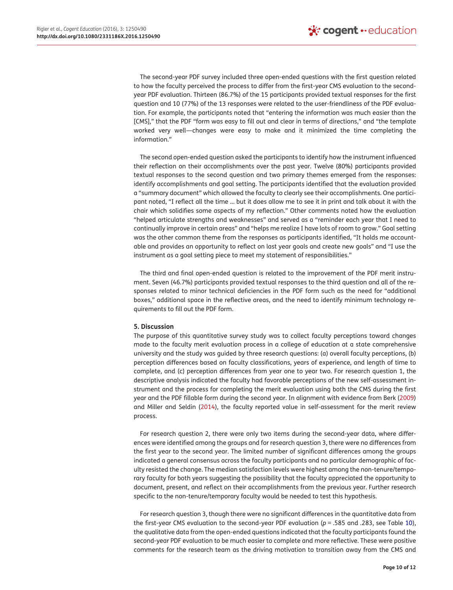The second-year PDF survey included three open-ended questions with the first question related to how the faculty perceived the process to differ from the first-year CMS evaluation to the secondyear PDF evaluation. Thirteen (86.7%) of the 15 participants provided textual responses for the first question and 10 (77%) of the 13 responses were related to the user-friendliness of the PDF evaluation. For example, the participants noted that "entering the information was much easier than the [CMS]," that the PDF "form was easy to fill out and clear in terms of directions," and "the template worked very well—changes were easy to make and it minimized the time completing the information."

The second open-ended question asked the participants to identify how the instrument influenced their reflection on their accomplishments over the past year. Twelve (80%) participants provided textual responses to the second question and two primary themes emerged from the responses: identify accomplishments and goal setting. The participants identified that the evaluation provided a "summary document" which allowed the faculty to clearly see their accomplishments. One participant noted, "I reflect all the time … but it does allow me to see it in print and talk about it with the chair which solidifies some aspects of my reflection." Other comments noted how the evaluation "helped articulate strengths and weaknesses" and served as a "reminder each year that I need to continually improve in certain areas" and "helps me realize I have lots of room to grow." Goal setting was the other common theme from the responses as participants identified, "It holds me accountable and provides an opportunity to reflect on last year goals and create new goals" and "I use the instrument as a goal setting piece to meet my statement of responsibilities."

The third and final open-ended question is related to the improvement of the PDF merit instrument. Seven (46.7%) participants provided textual responses to the third question and all of the responses related to minor technical deficiencies in the PDF form such as the need for "additional boxes," additional space in the reflective areas, and the need to identify minimum technology requirements to fill out the PDF form.

## **5. Discussion**

The purpose of this quantitative survey study was to collect faculty perceptions toward changes made to the faculty merit evaluation process in a college of education at a state comprehensive university and the study was guided by three research questions: (a) overall faculty perceptions, (b) perception differences based on faculty classifications, years of experience, and length of time to complete, and (c) perception differences from year one to year two. For research question 1, the descriptive analysis indicated the faculty had favorable perceptions of the new self-assessment instrument and the process for completing the merit evaluation using both the CMS during the first year and the PDF fillable form during the second year. In alignment with evidence from Berk ([2009](#page-12-13)) and Miller and Seldin ([2014](#page-12-6)), the faculty reported value in self-assessment for the merit review process.

For research question 2, there were only two items during the second-year data, where differences were identified among the groups and for research question 3, there were no differences from the first year to the second year. The limited number of significant differences among the groups indicated a general consensus across the faculty participants and no particular demographic of faculty resisted the change. The median satisfaction levels were highest among the non-tenure/temporary faculty for both years suggesting the possibility that the faculty appreciated the opportunity to document, present, and reflect on their accomplishments from the previous year. Further research specific to the non-tenure/temporary faculty would be needed to test this hypothesis.

For research question 3, though there were no significant differences in the quantitative data from the first-year CMS evaluation to the second-year PDF evaluation (*p* = .585 and .283, see Table [10](#page-9-1)), the qualitative data from the open-ended questions indicated that the faculty participants found the second-year PDF evaluation to be much easier to complete and more reflective. These were positive comments for the research team as the driving motivation to transition away from the CMS and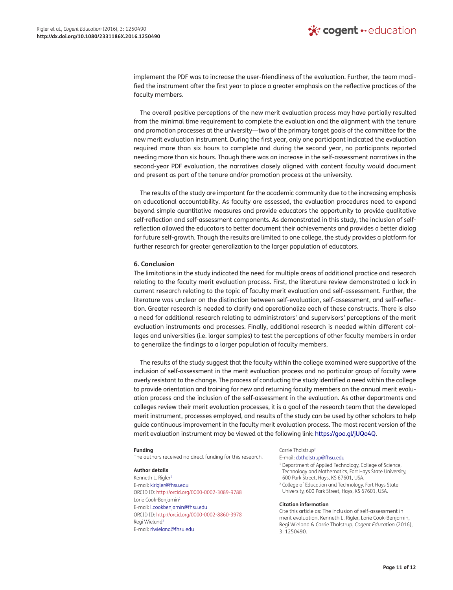implement the PDF was to increase the user-friendliness of the evaluation. Further, the team modified the instrument after the first year to place a greater emphasis on the reflective practices of the faculty members.

The overall positive perceptions of the new merit evaluation process may have partially resulted from the minimal time requirement to complete the evaluation and the alignment with the tenure and promotion processes at the university—two of the primary target goals of the committee for the new merit evaluation instrument. During the first year, only one participant indicated the evaluation required more than six hours to complete and during the second year, no participants reported needing more than six hours. Though there was an increase in the self-assessment narratives in the second-year PDF evaluation, the narratives closely aligned with content faculty would document and present as part of the tenure and/or promotion process at the university.

The results of the study are important for the academic community due to the increasing emphasis on educational accountability. As faculty are assessed, the evaluation procedures need to expand beyond simple quantitative measures and provide educators the opportunity to provide qualitative self-reflection and self-assessment components. As demonstrated in this study, the inclusion of selfreflection allowed the educators to better document their achievements and provides a better dialog for future self-growth. Though the results are limited to one college, the study provides a platform for further research for greater generalization to the larger population of educators.

### **6. Conclusion**

The limitations in the study indicated the need for multiple areas of additional practice and research relating to the faculty merit evaluation process. First, the literature review demonstrated a lack in current research relating to the topic of faculty merit evaluation and self-assessment. Further, the literature was unclear on the distinction between self-evaluation, self-assessment, and self-reflection. Greater research is needed to clarify and operationalize each of these constructs. There is also a need for additional research relating to administrators' and supervisors' perceptions of the merit evaluation instruments and processes. Finally, additional research is needed within different colleges and universities (i.e. larger samples) to test the perceptions of other faculty members in order to generalize the findings to a larger population of faculty members.

The results of the study suggest that the faculty within the college examined were supportive of the inclusion of self-assessment in the merit evaluation process and no particular group of faculty were overly resistant to the change. The process of conducting the study identified a need within the college to provide orientation and training for new and returning faculty members on the annual merit evaluation process and the inclusion of the self-assessment in the evaluation. As other departments and colleges review their merit evaluation processes, it is a goal of the research team that the developed merit instrument, processes employed, and results of the study can be used by other scholars to help guide continuous improvement in the faculty merit evaluation process. The most recent version of the merit evaluation instrument may be viewed at the following link:<https://goo.gl/jUQo4Q>.

#### **Funding**

The authors received no direct funding for this research.

#### **Author details**

Kenneth L. Rigler<sup>1</sup> E-mail: [klrigler@fhsu.edu](mailto:klrigler@fhsu.edu) ORCID ID:<http://orcid.org/0000-0002-3089-9788> Lorie Cook-Benjamin<sup>[2](#page-1-1)</sup> E-mail: [llcookbenjamin@fhsu.edu](mailto:llcookbenjamin@fhsu.edu) ORCID ID:<http://orcid.org/0000-0002-8860-3978> Regi Wieland[2](#page-1-1) E-mail: [rlwieland@fhsu.edu](mailto:rlwieland@fhsu.edu)

#### Carrie Tholstrup[2](#page-1-1)

E-mail: [cbtholstrup@fhsu.edu](mailto:cbtholstrup@fhsu.edu)

- <span id="page-11-0"></span><sup>1</sup> Department of Applied Technology, College of Science, Technology and Mathematics, Fort Hays State University, 600 Park Street, Hays, KS 67601, USA.
- <span id="page-11-1"></span><sup>2</sup> College of Education and Technology, Fort Hays State University, 600 Park Street, Hays, KS 67601, USA.

#### **Citation information**

Cite this article as: The inclusion of self-assessment in merit evaluation, Kenneth L. Rigler, Lorie Cook-Benjamin, Regi Wieland & Carrie Tholstrup, *Cogent Education* (2016), 3: 1250490.